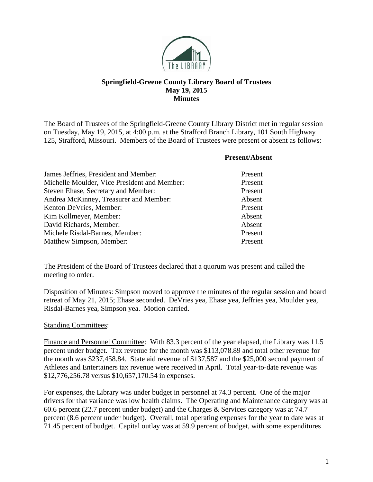

## **Springfield-Greene County Library Board of Trustees May 19, 2015 Minutes**

The Board of Trustees of the Springfield-Greene County Library District met in regular session on Tuesday, May 19, 2015, at 4:00 p.m. at the Strafford Branch Library, 101 South Highway 125, Strafford, Missouri. Members of the Board of Trustees were present or absent as follows:

|                                              | <b>Present/Absent</b> |
|----------------------------------------------|-----------------------|
| James Jeffries, President and Member:        | Present               |
| Michelle Moulder, Vice President and Member: | Present               |
| Steven Ehase, Secretary and Member:          | Present               |
| Andrea McKinney, Treasurer and Member:       | Absent                |
| Kenton DeVries, Member:                      | Present               |
| Kim Kollmeyer, Member:                       | Absent                |
| David Richards, Member:                      | Absent                |
| Michele Risdal-Barnes, Member:               | Present               |
| Matthew Simpson, Member:                     | Present               |

The President of the Board of Trustees declared that a quorum was present and called the meeting to order.

Disposition of Minutes: Simpson moved to approve the minutes of the regular session and board retreat of May 21, 2015; Ehase seconded. DeVries yea, Ehase yea, Jeffries yea, Moulder yea, Risdal-Barnes yea, Simpson yea. Motion carried.

## Standing Committees:

Finance and Personnel Committee: With 83.3 percent of the year elapsed, the Library was 11.5 percent under budget. Tax revenue for the month was \$113,078.89 and total other revenue for the month was \$237,458.84. State aid revenue of \$137,587 and the \$25,000 second payment of Athletes and Entertainers tax revenue were received in April. Total year-to-date revenue was \$12,776,256.78 versus \$10,657,170.54 in expenses.

For expenses, the Library was under budget in personnel at 74.3 percent. One of the major drivers for that variance was low health claims. The Operating and Maintenance category was at 60.6 percent (22.7 percent under budget) and the Charges & Services category was at 74.7 percent (8.6 percent under budget). Overall, total operating expenses for the year to date was at 71.45 percent of budget. Capital outlay was at 59.9 percent of budget, with some expenditures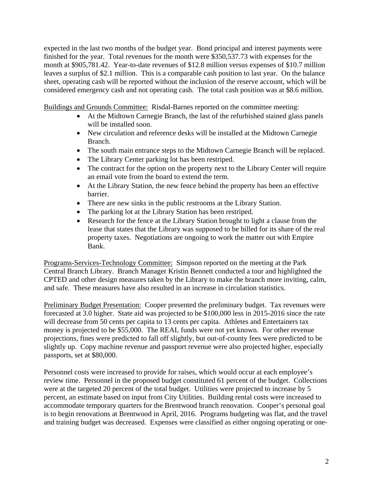expected in the last two months of the budget year. Bond principal and interest payments were finished for the year. Total revenues for the month were \$350,537.73 with expenses for the month at \$905,781.42. Year-to-date revenues of \$12.8 million versus expenses of \$10.7 million leaves a surplus of \$2.1 million. This is a comparable cash position to last year. On the balance sheet, operating cash will be reported without the inclusion of the reserve account, which will be considered emergency cash and not operating cash. The total cash position was at \$8.6 million.

Buildings and Grounds Committee: Risdal-Barnes reported on the committee meeting:

- At the Midtown Carnegie Branch, the last of the refurbished stained glass panels will be installed soon.
- New circulation and reference desks will be installed at the Midtown Carnegie Branch.
- The south main entrance steps to the Midtown Carnegie Branch will be replaced.
- The Library Center parking lot has been restriped.
- The contract for the option on the property next to the Library Center will require an email vote from the board to extend the term.
- At the Library Station, the new fence behind the property has been an effective barrier.
- There are new sinks in the public restrooms at the Library Station.
- The parking lot at the Library Station has been restriped.
- Research for the fence at the Library Station brought to light a clause from the lease that states that the Library was supposed to be billed for its share of the real property taxes. Negotiations are ongoing to work the matter out with Empire Bank.

Programs-Services-Technology Committee: Simpson reported on the meeting at the Park Central Branch Library. Branch Manager Kristin Bennett conducted a tour and highlighted the CPTED and other design measures taken by the Library to make the branch more inviting, calm, and safe. These measures have also resulted in an increase in circulation statistics.

Preliminary Budget Presentation: Cooper presented the preliminary budget. Tax revenues were forecasted at 3.0 higher. State aid was projected to be \$100,000 less in 2015-2016 since the rate will decrease from 50 cents per capita to 13 cents per capita. Athletes and Entertainers tax money is projected to be \$55,000. The REAL funds were not yet known. For other revenue projections, fines were predicted to fall off slightly, but out-of-county fees were predicted to be slightly up. Copy machine revenue and passport revenue were also projected higher, especially passports, set at \$80,000.

Personnel costs were increased to provide for raises, which would occur at each employee's review time. Personnel in the proposed budget constituted 61 percent of the budget. Collections were at the targeted 20 percent of the total budget. Utilities were projected to increase by 5 percent, an estimate based on input from City Utilities. Building rental costs were increased to accommodate temporary quarters for the Brentwood branch renovation. Cooper's personal goal is to begin renovations at Brentwood in April, 2016. Programs budgeting was flat, and the travel and training budget was decreased. Expenses were classified as either ongoing operating or one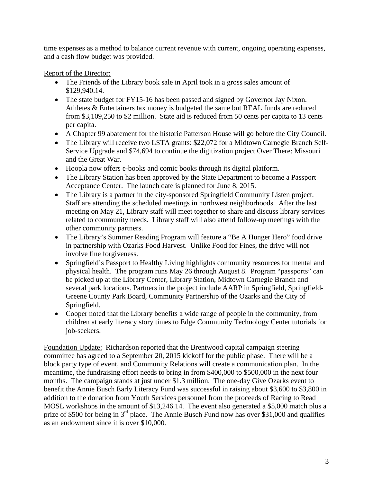time expenses as a method to balance current revenue with current, ongoing operating expenses, and a cash flow budget was provided.

Report of the Director:

- The Friends of the Library book sale in April took in a gross sales amount of \$129,940.14.
- The state budget for FY15-16 has been passed and signed by Governor Jay Nixon. Athletes & Entertainers tax money is budgeted the same but REAL funds are reduced from \$3,109,250 to \$2 million. State aid is reduced from 50 cents per capita to 13 cents per capita.
- A Chapter 99 abatement for the historic Patterson House will go before the City Council.
- The Library will receive two LSTA grants: \$22,072 for a Midtown Carnegie Branch Self-Service Upgrade and \$74,694 to continue the digitization project Over There: Missouri and the Great War.
- Hoopla now offers e-books and comic books through its digital platform.
- The Library Station has been approved by the State Department to become a Passport Acceptance Center. The launch date is planned for June 8, 2015.
- The Library is a partner in the city-sponsored Springfield Community Listen project. Staff are attending the scheduled meetings in northwest neighborhoods. After the last meeting on May 21, Library staff will meet together to share and discuss library services related to community needs. Library staff will also attend follow-up meetings with the other community partners.
- The Library's Summer Reading Program will feature a "Be A Hunger Hero" food drive in partnership with Ozarks Food Harvest. Unlike Food for Fines, the drive will not involve fine forgiveness.
- Springfield's Passport to Healthy Living highlights community resources for mental and physical health. The program runs May 26 through August 8. Program "passports" can be picked up at the Library Center, Library Station, Midtown Carnegie Branch and several park locations. Partners in the project include AARP in Springfield, Springfield-Greene County Park Board, Community Partnership of the Ozarks and the City of Springfield.
- Cooper noted that the Library benefits a wide range of people in the community, from children at early literacy story times to Edge Community Technology Center tutorials for job-seekers.

Foundation Update: Richardson reported that the Brentwood capital campaign steering committee has agreed to a September 20, 2015 kickoff for the public phase. There will be a block party type of event, and Community Relations will create a communication plan. In the meantime, the fundraising effort needs to bring in from \$400,000 to \$500,000 in the next four months. The campaign stands at just under \$1.3 million. The one-day Give Ozarks event to benefit the Annie Busch Early Literacy Fund was successful in raising about \$3,600 to \$3,800 in addition to the donation from Youth Services personnel from the proceeds of Racing to Read MOSL workshops in the amount of \$13,246.14. The event also generated a \$5,000 match plus a prize of \$500 for being in 3<sup>rd</sup> place. The Annie Busch Fund now has over \$31,000 and qualifies as an endowment since it is over \$10,000.